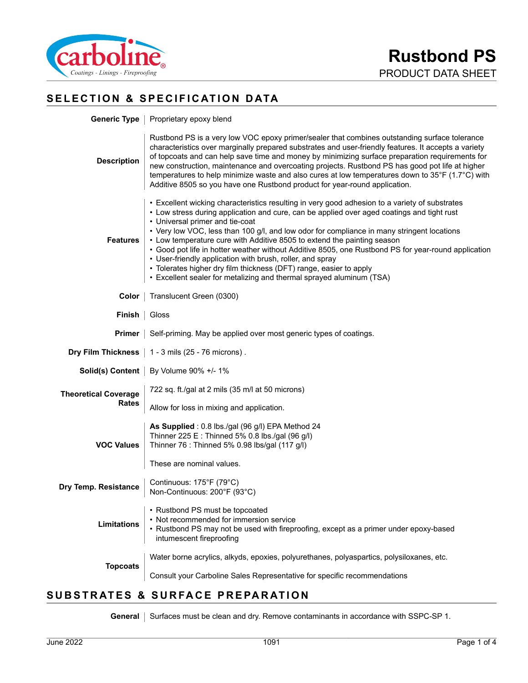

# **SELECTION & SPECIFICATION DATA**

|                             | Generic Type   Proprietary epoxy blend                                                                                                                                                                                                                                                                                                                                                                                                                                                                                                                                                                                                                                                                                     |  |  |
|-----------------------------|----------------------------------------------------------------------------------------------------------------------------------------------------------------------------------------------------------------------------------------------------------------------------------------------------------------------------------------------------------------------------------------------------------------------------------------------------------------------------------------------------------------------------------------------------------------------------------------------------------------------------------------------------------------------------------------------------------------------------|--|--|
| <b>Description</b>          | Rustbond PS is a very low VOC epoxy primer/sealer that combines outstanding surface tolerance<br>characteristics over marginally prepared substrates and user-friendly features. It accepts a variety<br>of topcoats and can help save time and money by minimizing surface preparation requirements for<br>new construction, maintenance and overcoating projects. Rustbond PS has good pot life at higher<br>temperatures to help minimize waste and also cures at low temperatures down to 35°F (1.7°C) with<br>Additive 8505 so you have one Rustbond product for year-round application.                                                                                                                              |  |  |
| <b>Features</b>             | • Excellent wicking characteristics resulting in very good adhesion to a variety of substrates<br>• Low stress during application and cure, can be applied over aged coatings and tight rust<br>• Universal primer and tie-coat<br>• Very low VOC, less than 100 g/l, and low odor for compliance in many stringent locations<br>• Low temperature cure with Additive 8505 to extend the painting season<br>• Good pot life in hotter weather without Additive 8505, one Rustbond PS for year-round application<br>• User-friendly application with brush, roller, and spray<br>• Tolerates higher dry film thickness (DFT) range, easier to apply<br>• Excellent sealer for metalizing and thermal sprayed aluminum (TSA) |  |  |
| Color                       | Translucent Green (0300)                                                                                                                                                                                                                                                                                                                                                                                                                                                                                                                                                                                                                                                                                                   |  |  |
| Finish                      | Gloss                                                                                                                                                                                                                                                                                                                                                                                                                                                                                                                                                                                                                                                                                                                      |  |  |
| <b>Primer</b>               | Self-priming. May be applied over most generic types of coatings.                                                                                                                                                                                                                                                                                                                                                                                                                                                                                                                                                                                                                                                          |  |  |
| Dry Film Thickness          | 1 - 3 mils (25 - 76 microns).                                                                                                                                                                                                                                                                                                                                                                                                                                                                                                                                                                                                                                                                                              |  |  |
|                             | Solid(s) Content   By Volume 90% +/- 1%                                                                                                                                                                                                                                                                                                                                                                                                                                                                                                                                                                                                                                                                                    |  |  |
| <b>Theoretical Coverage</b> | 722 sq. ft./gal at 2 mils (35 m/l at 50 microns)                                                                                                                                                                                                                                                                                                                                                                                                                                                                                                                                                                                                                                                                           |  |  |
| Rates                       | Allow for loss in mixing and application.                                                                                                                                                                                                                                                                                                                                                                                                                                                                                                                                                                                                                                                                                  |  |  |
| <b>VOC Values</b>           | As Supplied: 0.8 lbs./gal (96 g/l) EPA Method 24<br>Thinner 225 E : Thinned 5% 0.8 lbs./gal (96 g/l)<br>Thinner 76 : Thinned 5% 0.98 lbs/gal (117 g/l)                                                                                                                                                                                                                                                                                                                                                                                                                                                                                                                                                                     |  |  |
|                             | These are nominal values.                                                                                                                                                                                                                                                                                                                                                                                                                                                                                                                                                                                                                                                                                                  |  |  |
| Dry Temp. Resistance        | Continuous: 175°F (79°C)<br>Non-Continuous: 200°F (93°C)                                                                                                                                                                                                                                                                                                                                                                                                                                                                                                                                                                                                                                                                   |  |  |
| <b>Limitations</b>          | • Rustbond PS must be topcoated<br>• Not recommended for immersion service<br>• Rustbond PS may not be used with fireproofing, except as a primer under epoxy-based<br>intumescent fireproofing                                                                                                                                                                                                                                                                                                                                                                                                                                                                                                                            |  |  |
| <b>Topcoats</b>             | Water borne acrylics, alkyds, epoxies, polyurethanes, polyaspartics, polysiloxanes, etc.                                                                                                                                                                                                                                                                                                                                                                                                                                                                                                                                                                                                                                   |  |  |
|                             | Consult your Carboline Sales Representative for specific recommendations                                                                                                                                                                                                                                                                                                                                                                                                                                                                                                                                                                                                                                                   |  |  |
|                             |                                                                                                                                                                                                                                                                                                                                                                                                                                                                                                                                                                                                                                                                                                                            |  |  |

#### **SUBSTRATES & SURFACE PREPARATION**

General | Surfaces must be clean and dry. Remove contaminants in accordance with SSPC-SP 1.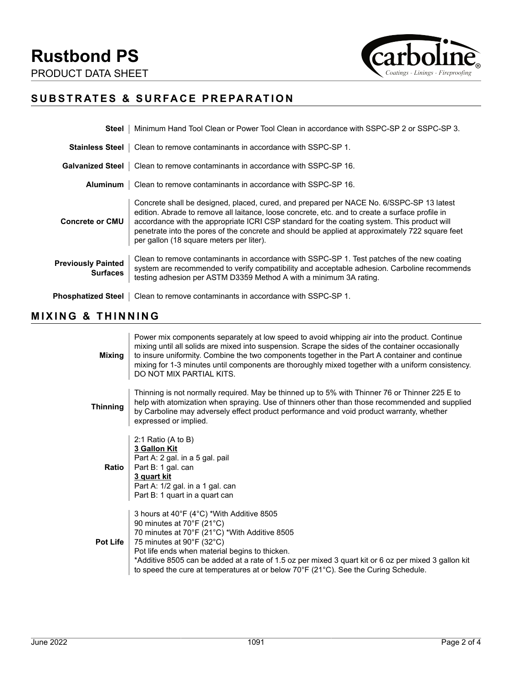**Rustbond PS** PRODUCT DATA SHEET



# **SUBSTRATES & SURFACE PREPARATION**

| Steel                                        | Minimum Hand Tool Clean or Power Tool Clean in accordance with SSPC-SP 2 or SSPC-SP 3.                                                                                                                                                                                                                                                                                                                                                    |
|----------------------------------------------|-------------------------------------------------------------------------------------------------------------------------------------------------------------------------------------------------------------------------------------------------------------------------------------------------------------------------------------------------------------------------------------------------------------------------------------------|
| <b>Stainless Steel</b>                       | Clean to remove contaminants in accordance with SSPC-SP 1.                                                                                                                                                                                                                                                                                                                                                                                |
|                                              | <b>Galvanized Steel</b>   Clean to remove contaminants in accordance with SSPC-SP 16.                                                                                                                                                                                                                                                                                                                                                     |
| Aluminum                                     | Clean to remove contaminants in accordance with SSPC-SP 16.                                                                                                                                                                                                                                                                                                                                                                               |
| <b>Concrete or CMU</b>                       | Concrete shall be designed, placed, cured, and prepared per NACE No. 6/SSPC-SP 13 latest<br>edition. Abrade to remove all laitance, loose concrete, etc. and to create a surface profile in<br>accordance with the appropriate ICRI CSP standard for the coating system. This product will<br>penetrate into the pores of the concrete and should be applied at approximately 722 square feet<br>per gallon (18 square meters per liter). |
| <b>Previously Painted</b><br><b>Surfaces</b> | Clean to remove contaminants in accordance with SSPC-SP 1. Test patches of the new coating<br>system are recommended to verify compatibility and acceptable adhesion. Carboline recommends<br>testing adhesion per ASTM D3359 Method A with a minimum 3A rating.                                                                                                                                                                          |
| Phosphatized Steel                           | Clean to remove contaminants in accordance with SSPC-SP 1.                                                                                                                                                                                                                                                                                                                                                                                |

## **MIXING & THINNING**

| Mixing          | Power mix components separately at low speed to avoid whipping air into the product. Continue<br>mixing until all solids are mixed into suspension. Scrape the sides of the container occasionally<br>to insure uniformity. Combine the two components together in the Part A container and continue<br>mixing for 1-3 minutes until components are thoroughly mixed together with a uniform consistency.<br>DO NOT MIX PARTIAL KITS. |
|-----------------|---------------------------------------------------------------------------------------------------------------------------------------------------------------------------------------------------------------------------------------------------------------------------------------------------------------------------------------------------------------------------------------------------------------------------------------|
| Thinning        | Thinning is not normally required. May be thinned up to 5% with Thinner 76 or Thinner 225 E to<br>help with atomization when spraying. Use of thinners other than those recommended and supplied<br>by Carboline may adversely effect product performance and void product warranty, whether<br>expressed or implied.                                                                                                                 |
| Ratio           | 2:1 Ratio (A to B)<br>3 Gallon Kit<br>Part A: 2 gal. in a 5 gal. pail<br>Part B: 1 gal. can<br>3 quart kit<br>Part A: 1/2 gal. in a 1 gal. can<br>Part B: 1 quart in a quart can                                                                                                                                                                                                                                                      |
| <b>Pot Life</b> | 3 hours at 40°F (4°C) *With Additive 8505<br>90 minutes at 70°F (21°C)<br>70 minutes at 70°F (21°C) *With Additive 8505<br>75 minutes at 90°F (32°C)<br>Pot life ends when material begins to thicken.<br>*Additive 8505 can be added at a rate of 1.5 oz per mixed 3 quart kit or 6 oz per mixed 3 gallon kit<br>to speed the cure at temperatures at or below $70^{\circ}$ F ( $21^{\circ}$ C). See the Curing Schedule.            |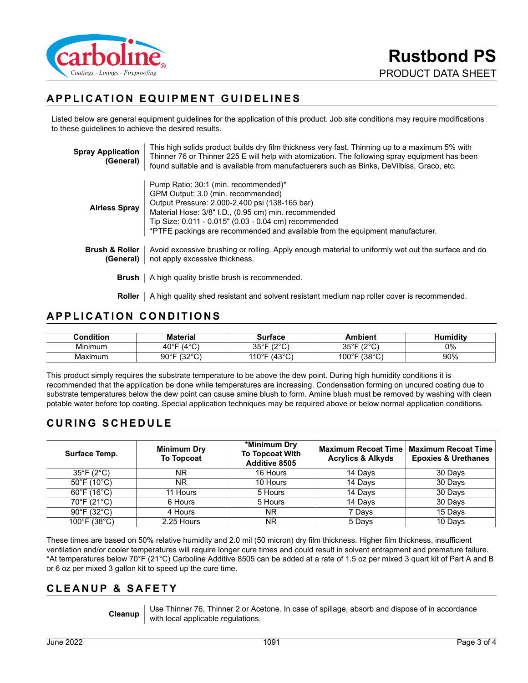

# **APPLICATION EQUIPMENT GUIDELINES**

Listed below are general equipment guidelines for the application of this product. Job site conditions may require modifications to these guidelines to achieve the desired results.

| <b>Spray Application</b><br>(General)  | This high solids product builds dry film thickness very fast. Thinning up to a maximum 5% with<br>Thinner 76 or Thinner 225 E will help with atomization. The following spray equipment has been<br>found suitable and is available from manufactuerers such as Binks, DeVilbiss, Graco, etc.                                  |
|----------------------------------------|--------------------------------------------------------------------------------------------------------------------------------------------------------------------------------------------------------------------------------------------------------------------------------------------------------------------------------|
| <b>Airless Spray</b>                   | Pump Ratio: 30:1 (min. recommended)*<br>GPM Output: 3.0 (min. recommended)<br>Output Pressure: 2,000-2,400 psi (138-165 bar)<br>Material Hose: 3/8" I.D., (0.95 cm) min. recommended<br>Tip Size: 0.011 - 0.015" (0.03 - 0.04 cm) recommended<br>*PTFE packings are recommended and available from the equipment manufacturer. |
| <b>Brush &amp; Roller</b><br>(General) | Avoid excessive brushing or rolling. Apply enough material to uniformly wet out the surface and do<br>not apply excessive thickness.                                                                                                                                                                                           |
| Brush                                  | A high quality bristle brush is recommended.                                                                                                                                                                                                                                                                                   |
| Roller                                 | A high quality shed resistant and solvent resistant medium nap roller cover is recommended.                                                                                                                                                                                                                                    |

#### **APPLICATION CONDITIONS**

| Condition | <b>Material</b>                  | Surface                               | Ambient                         | Humiditv |
|-----------|----------------------------------|---------------------------------------|---------------------------------|----------|
| Minimum   | $(4^{\circ}C)$<br>$40^{\circ}$ F | 25°E<br>$100^{\circ}$<br>◡<br>ບບ<br>╰ | 1000<br>ว⊾∘⊏<br>ບບ              | $0\%$    |
| Maximum   | 10000<br>90°F<br>◡<br>ັ          | '43°C'<br>$110^{\circ}$ F             | $(38^{\circ}C)$<br>100°F<br>َ ب | 90%      |

This product simply requires the substrate temperature to be above the dew point. During high humidity conditions it is recommended that the application be done while temperatures are increasing. Condensation forming on uncured coating due to substrate temperatures below the dew point can cause amine blush to form. Amine blush must be removed by washing with clean potable water before top coating. Special application techniques may be required above or below normal application conditions.

## **CURING SCHEDULE**

| Surface Temp.                    | <b>Minimum Dry</b><br><b>To Topcoat</b> | *Minimum Dry<br><b>To Topcoat With</b><br><b>Additive 8505</b> | <b>Maximum Recoat Time</b><br><b>Acrylics &amp; Alkyds</b> | <b>Maximum Recoat Time</b><br><b>Epoxies &amp; Urethanes</b> |
|----------------------------------|-----------------------------------------|----------------------------------------------------------------|------------------------------------------------------------|--------------------------------------------------------------|
| $35^{\circ}$ F (2 $^{\circ}$ C)  | ΝR                                      | 16 Hours                                                       | 14 Days                                                    | 30 Days                                                      |
| $50^{\circ}$ F (10 $^{\circ}$ C) | ΝR                                      | 10 Hours                                                       | 14 Days                                                    | 30 Days                                                      |
| $60^{\circ}$ F (16 $^{\circ}$ C) | 11 Hours                                | 5 Hours                                                        | 14 Days                                                    | 30 Days                                                      |
| 70°F (21°C)                      | 6 Hours                                 | 5 Hours                                                        | 14 Days                                                    | 30 Days                                                      |
| $90^{\circ}$ F (32 $^{\circ}$ C) | 4 Hours                                 | <b>NR</b>                                                      | 7 Days                                                     | 15 Days                                                      |
| 100°F (38°C)                     | 2.25 Hours                              | <b>NR</b>                                                      | 5 Days                                                     | 10 Days                                                      |

These times are based on 50% relative humidity and 2.0 mil (50 micron) dry film thickness. Higher film thickness, insufficient ventilation and/or cooler temperatures will require longer cure times and could result in solvent entrapment and premature failure. \*At temperatures below 70°F (21°C) Carboline Additive 8505 can be added at a rate of 1.5 oz per mixed 3 quart kit of Part A and B or 6 oz per mixed 3 gallon kit to speed up the cure time.

#### **CLEANUP & SAFETY**

**Cleanup** Use Thinner 76, Thinner 2 or Acetone. In case of spillage, absorb and dispose of in accordance with local applicable regulations.